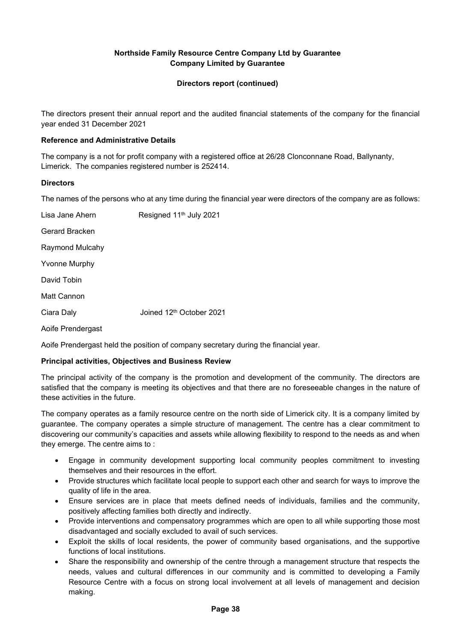#### **Directors report (continued)**

The directors present their annual report and the audited financial statements of the company for the financial year ended 31 December 2021

#### **Reference and Administrative Details**

The company is a not for profit company with a registered office at 26/28 Clonconnane Road, Ballynanty, Limerick. The companies registered number is 252414.

#### **Directors**

The names of the persons who at any time during the financial year were directors of the company are as follows:

| Lisa Jane Ahern | Resigned 11 <sup>th</sup> July 2021  |
|-----------------|--------------------------------------|
| Gerard Bracken  |                                      |
| Raymond Mulcahy |                                      |
| Yvonne Murphy   |                                      |
| David Tobin     |                                      |
| Matt Cannon     |                                      |
| Ciara Daly      | Joined 12 <sup>th</sup> October 2021 |

Aoife Prendergast

Aoife Prendergast held the position of company secretary during the financial year.

#### **Principal activities, Objectives and Business Review**

The principal activity of the company is the promotion and development of the community. The directors are satisfied that the company is meeting its objectives and that there are no foreseeable changes in the nature of these activities in the future.

The company operates as a family resource centre on the north side of Limerick city. It is a company limited by guarantee. The company operates a simple structure of management. The centre has a clear commitment to discovering our community's capacities and assets while allowing flexibility to respond to the needs as and when they emerge. The centre aims to :

- Engage in community development supporting local community peoples commitment to investing themselves and their resources in the effort.
- Provide structures which facilitate local people to support each other and search for ways to improve the quality of life in the area.
- Ensure services are in place that meets defined needs of individuals, families and the community, positively affecting families both directly and indirectly.
- Provide interventions and compensatory programmes which are open to all while supporting those most disadvantaged and socially excluded to avail of such services.
- Exploit the skills of local residents, the power of community based organisations, and the supportive functions of local institutions.
- Share the responsibility and ownership of the centre through a management structure that respects the needs, values and cultural differences in our community and is committed to developing a Family Resource Centre with a focus on strong local involvement at all levels of management and decision making.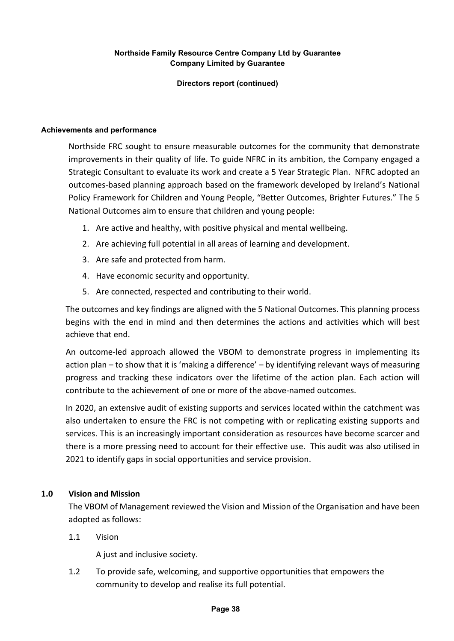### **Directors report (continued)**

#### **Achievements and performance**

Northside FRC sought to ensure measurable outcomes for the community that demonstrate improvements in their quality of life. To guide NFRC in its ambition, the Company engaged a Strategic Consultant to evaluate its work and create a 5 Year Strategic Plan. NFRC adopted an outcomes-based planning approach based on the framework developed by Ireland's National Policy Framework for Children and Young People, "Better Outcomes, Brighter Futures." The 5 National Outcomes aim to ensure that children and young people:

- 1. Are active and healthy, with positive physical and mental wellbeing.
- 2. Are achieving full potential in all areas of learning and development.
- 3. Are safe and protected from harm.
- 4. Have economic security and opportunity.
- 5. Are connected, respected and contributing to their world.

The outcomes and key findings are aligned with the 5 National Outcomes. This planning process begins with the end in mind and then determines the actions and activities which will best achieve that end.

An outcome-led approach allowed the VBOM to demonstrate progress in implementing its action plan – to show that it is 'making a difference' – by identifying relevant ways of measuring progress and tracking these indicators over the lifetime of the action plan. Each action will contribute to the achievement of one or more of the above-named outcomes.

In 2020, an extensive audit of existing supports and services located within the catchment was also undertaken to ensure the FRC is not competing with or replicating existing supports and services. This is an increasingly important consideration as resources have become scarcer and there is a more pressing need to account for their effective use. This audit was also utilised in 2021 to identify gaps in social opportunities and service provision.

# **1.0 Vision and Mission**

The VBOM of Management reviewed the Vision and Mission of the Organisation and have been adopted as follows:

1.1 Vision

A just and inclusive society.

1.2 To provide safe, welcoming, and supportive opportunities that empowers the community to develop and realise its full potential.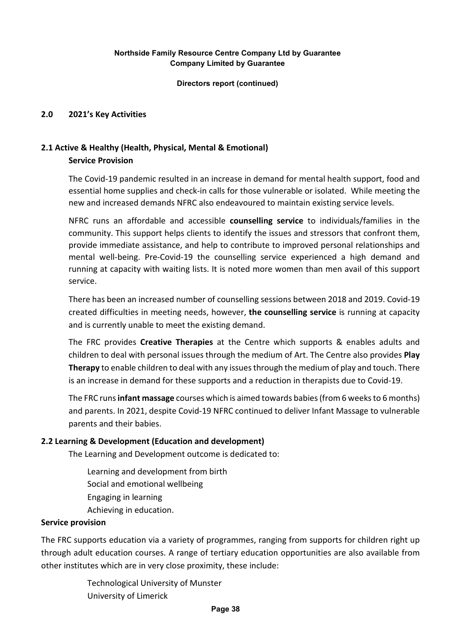**Directors report (continued)**

# **2.0 2021's Key Activities**

# **2.1 Active & Healthy (Health, Physical, Mental & Emotional) Service Provision**

The Covid-19 pandemic resulted in an increase in demand for mental health support, food and essential home supplies and check-in calls for those vulnerable or isolated. While meeting the new and increased demands NFRC also endeavoured to maintain existing service levels.

NFRC runs an affordable and accessible **counselling service** to individuals/families in the community. This support helps clients to identify the issues and stressors that confront them, provide immediate assistance, and help to contribute to improved personal relationships and mental well-being. Pre-Covid-19 the counselling service experienced a high demand and running at capacity with waiting lists. It is noted more women than men avail of this support service.

There has been an increased number of counselling sessions between 2018 and 2019. Covid-19 created difficulties in meeting needs, however, **the counselling service** is running at capacity and is currently unable to meet the existing demand.

The FRC provides **Creative Therapies** at the Centre which supports & enables adults and children to deal with personal issues through the medium of Art. The Centre also provides **Play Therapy** to enable children to deal with any issues through the medium of play and touch. There is an increase in demand for these supports and a reduction in therapists due to Covid-19.

The FRC runs **infant massage** courses which is aimed towards babies (from 6 weeks to 6 months) and parents. In 2021, despite Covid-19 NFRC continued to deliver Infant Massage to vulnerable parents and their babies.

# **2.2 Learning & Development (Education and development)**

The Learning and Development outcome is dedicated to:

- Learning and development from birth Social and emotional wellbeing
- Engaging in learning
- Achieving in education.

# **Service provision**

The FRC supports education via a variety of programmes, ranging from supports for children right up through adult education courses. A range of tertiary education opportunities are also available from other institutes which are in very close proximity, these include:

> Technological University of Munster University of Limerick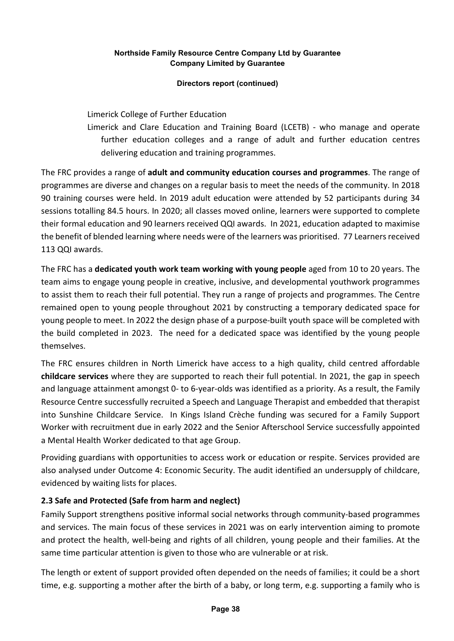# **Directors report (continued)**

Limerick College of Further Education

Limerick and Clare Education and Training Board (LCETB) - who manage and operate further education colleges and a range of adult and further education centres delivering education and training programmes.

The FRC provides a range of **adult and community education courses and programmes**. The range of programmes are diverse and changes on a regular basis to meet the needs of the community. In 2018 90 training courses were held. In 2019 adult education were attended by 52 participants during 34 sessions totalling 84.5 hours. In 2020; all classes moved online, learners were supported to complete their formal education and 90 learners received QQI awards. In 2021, education adapted to maximise the benefit of blended learning where needs were of the learners was prioritised. 77 Learners received 113 QQI awards.

The FRC has a **dedicated youth work team working with young people** aged from 10 to 20 years. The team aims to engage young people in creative, inclusive, and developmental youthwork programmes to assist them to reach their full potential. They run a range of projects and programmes. The Centre remained open to young people throughout 2021 by constructing a temporary dedicated space for young people to meet. In 2022 the design phase of a purpose-built youth space will be completed with the build completed in 2023. The need for a dedicated space was identified by the young people themselves.

The FRC ensures children in North Limerick have access to a high quality, child centred affordable **childcare services** where they are supported to reach their full potential. In 2021, the gap in speech and language attainment amongst 0- to 6-year-olds was identified as a priority. As a result, the Family Resource Centre successfully recruited a Speech and Language Therapist and embedded that therapist into Sunshine Childcare Service. In Kings Island Crèche funding was secured for a Family Support Worker with recruitment due in early 2022 and the Senior Afterschool Service successfully appointed a Mental Health Worker dedicated to that age Group.

Providing guardians with opportunities to access work or education or respite. Services provided are also analysed under Outcome 4: Economic Security. The audit identified an undersupply of childcare, evidenced by waiting lists for places.

# **2.3 Safe and Protected (Safe from harm and neglect)**

Family Support strengthens positive informal social networks through community-based programmes and services. The main focus of these services in 2021 was on early intervention aiming to promote and protect the health, well-being and rights of all children, young people and their families. At the same time particular attention is given to those who are vulnerable or at risk.

The length or extent of support provided often depended on the needs of families; it could be a short time, e.g. supporting a mother after the birth of a baby, or long term, e.g. supporting a family who is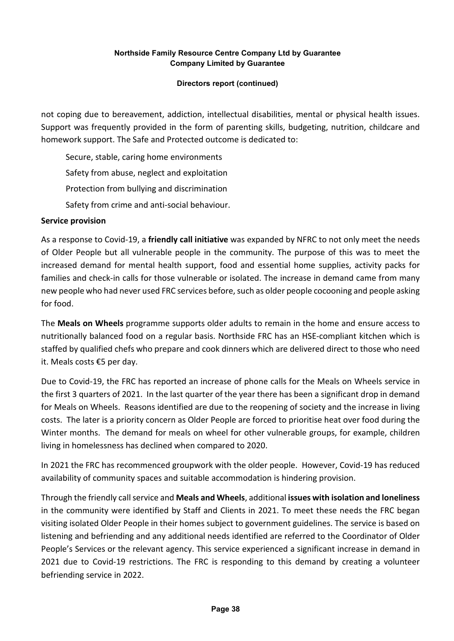# **Directors report (continued)**

not coping due to bereavement, addiction, intellectual disabilities, mental or physical health issues. Support was frequently provided in the form of parenting skills, budgeting, nutrition, childcare and homework support. The Safe and Protected outcome is dedicated to:

Secure, stable, caring home environments Safety from abuse, neglect and exploitation Protection from bullying and discrimination Safety from crime and anti-social behaviour.

# **Service provision**

As a response to Covid-19, a **friendly call initiative** was expanded by NFRC to not only meet the needs of Older People but all vulnerable people in the community. The purpose of this was to meet the increased demand for mental health support, food and essential home supplies, activity packs for families and check-in calls for those vulnerable or isolated. The increase in demand came from many new people who had never used FRC services before, such as older people cocooning and people asking for food.

The **Meals on Wheels** programme supports older adults to remain in the home and ensure access to nutritionally balanced food on a regular basis. Northside FRC has an HSE-compliant kitchen which is staffed by qualified chefs who prepare and cook dinners which are delivered direct to those who need it. Meals costs €5 per day.

Due to Covid-19, the FRC has reported an increase of phone calls for the Meals on Wheels service in the first 3 quarters of 2021. In the last quarter of the year there has been a significant drop in demand for Meals on Wheels. Reasons identified are due to the reopening of society and the increase in living costs. The later is a priority concern as Older People are forced to prioritise heat over food during the Winter months. The demand for meals on wheel for other vulnerable groups, for example, children living in homelessness has declined when compared to 2020.

In 2021 the FRC has recommenced groupwork with the older people. However, Covid-19 has reduced availability of community spaces and suitable accommodation is hindering provision.

Through the friendly call service and **Meals and Wheels**, additional **issues with isolation and loneliness** in the community were identified by Staff and Clients in 2021. To meet these needs the FRC began visiting isolated Older People in their homes subject to government guidelines. The service is based on listening and befriending and any additional needs identified are referred to the Coordinator of Older People's Services or the relevant agency. This service experienced a significant increase in demand in 2021 due to Covid-19 restrictions. The FRC is responding to this demand by creating a volunteer befriending service in 2022.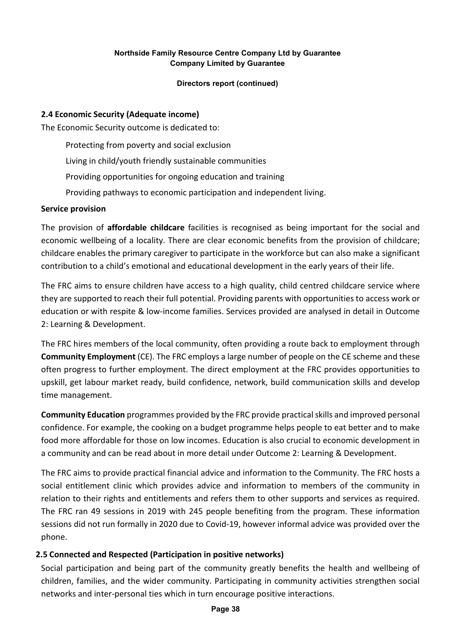### **Directors report (continued)**

# **2.4 Economic Security (Adequate income)**

The Economic Security outcome is dedicated to:

Protecting from poverty and social exclusion

Living in child/youth friendly sustainable communities

Providing opportunities for ongoing education and training

Providing pathways to economic participation and independent living.

# **Service provision**

The provision of **affordable childcare** facilities is recognised as being important for the social and economic wellbeing of a locality. There are clear economic benefits from the provision of childcare; childcare enables the primary caregiver to participate in the workforce but can also make a significant contribution to a child's emotional and educational development in the early years of their life.

The FRC aims to ensure children have access to a high quality, child centred childcare service where they are supported to reach their full potential. Providing parents with opportunities to access work or education or with respite & low-income families. Services provided are analysed in detail in Outcome 2: Learning & Development.

The FRC hires members of the local community, often providing a route back to employment through **Community Employment** (CE). The FRC employs a large number of people on the CE scheme and these often progress to further employment. The direct employment at the FRC provides opportunities to upskill, get labour market ready, build confidence, network, build communication skills and develop time management.

**Community Education** programmes provided by the FRC provide practical skills and improved personal confidence. For example, the cooking on a budget programme helps people to eat better and to make food more affordable for those on low incomes. Education is also crucial to economic development in a community and can be read about in more detail under Outcome 2: Learning & Development.

The FRC aims to provide practical financial advice and information to the Community. The FRC hosts a social entitlement clinic which provides advice and information to members of the community in relation to their rights and entitlements and refers them to other supports and services as required. The FRC ran 49 sessions in 2019 with 245 people benefiting from the program. These information sessions did not run formally in 2020 due to Covid-19, however informal advice was provided over the phone.

# **2.5 Connected and Respected (Participation in positive networks)**

Social participation and being part of the community greatly benefits the health and wellbeing of children, families, and the wider community. Participating in community activities strengthen social networks and inter-personal ties which in turn encourage positive interactions.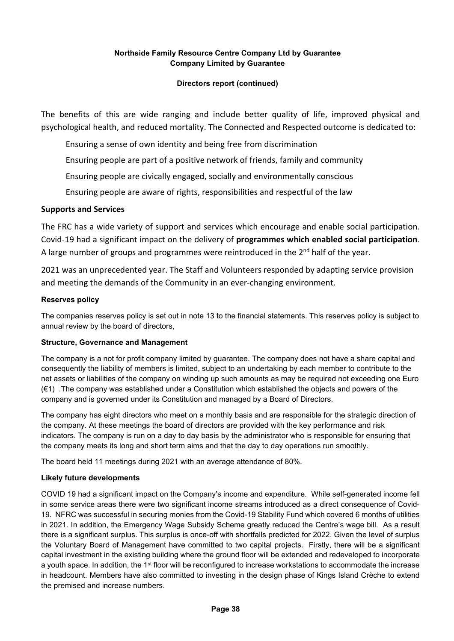### **Directors report (continued)**

The benefits of this are wide ranging and include better quality of life, improved physical and psychological health, and reduced mortality. The Connected and Respected outcome is dedicated to:

Ensuring a sense of own identity and being free from discrimination

Ensuring people are part of a positive network of friends, family and community

Ensuring people are civically engaged, socially and environmentally conscious

Ensuring people are aware of rights, responsibilities and respectful of the law

### **Supports and Services**

The FRC has a wide variety of support and services which encourage and enable social participation. Covid-19 had a significant impact on the delivery of **programmes which enabled social participation**. A large number of groups and programmes were reintroduced in the  $2^{nd}$  half of the year.

2021 was an unprecedented year. The Staff and Volunteers responded by adapting service provision and meeting the demands of the Community in an ever-changing environment.

### **Reserves policy**

The companies reserves policy is set out in note 13 to the financial statements. This reserves policy is subject to annual review by the board of directors,

#### **Structure, Governance and Management**

The company is a not for profit company limited by guarantee. The company does not have a share capital and consequently the liability of members is limited, subject to an undertaking by each member to contribute to the net assets or liabilities of the company on winding up such amounts as may be required not exceeding one Euro (€1) .The company was established under a Constitution which established the objects and powers of the company and is governed under its Constitution and managed by a Board of Directors.

The company has eight directors who meet on a monthly basis and are responsible for the strategic direction of the company. At these meetings the board of directors are provided with the key performance and risk indicators. The company is run on a day to day basis by the administrator who is responsible for ensuring that the company meets its long and short term aims and that the day to day operations run smoothly.

The board held 11 meetings during 2021 with an average attendance of 80%.

#### **Likely future developments**

COVID 19 had a significant impact on the Company's income and expenditure. While self-generated income fell in some service areas there were two significant income streams introduced as a direct consequence of Covid-19. NFRC was successful in securing monies from the Covid-19 Stability Fund which covered 6 months of utilities in 2021. In addition, the Emergency Wage Subsidy Scheme greatly reduced the Centre's wage bill. As a result there is a significant surplus. This surplus is once-off with shortfalls predicted for 2022. Given the level of surplus the Voluntary Board of Management have committed to two capital projects. Firstly, there will be a significant capital investment in the existing building where the ground floor will be extended and redeveloped to incorporate a youth space. In addition, the 1<sup>st</sup> floor will be reconfigured to increase workstations to accommodate the increase in headcount. Members have also committed to investing in the design phase of Kings Island Crèche to extend the premised and increase numbers.